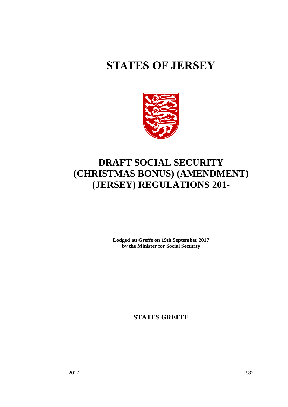# **STATES OF JERSEY**



## **DRAFT SOCIAL SECURITY (CHRISTMAS BONUS) (AMENDMENT) (JERSEY) REGULATIONS 201-**

**Lodged au Greffe on 19th September 2017 by the Minister for Social Security**

**STATES GREFFE**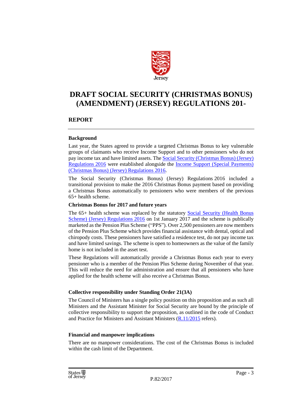

### **DRAFT SOCIAL SECURITY (CHRISTMAS BONUS) (AMENDMENT) (JERSEY) REGULATIONS 201-**

#### **REPORT**

#### **Background**

Last year, the States agreed to provide a targeted Christmas Bonus to key vulnerable groups of claimants who receive Income Support and to other pensioners who do not pay income tax and have limited assets. The [Social Security \(Christmas Bonus\) \(Jersey\)](https://www.jerseylaw.je/laws/revised/Pages/26.880.10.aspx)  [Regulations](https://www.jerseylaw.je/laws/revised/Pages/26.880.10.aspx) 2016 were established alongside the [Income Support \(Special Payments\)](https://www.jerseylaw.je/laws/revised/Pages/26.550.63.aspx)  [\(Christmas Bonus\) \(Jersey\) Regulations](https://www.jerseylaw.je/laws/revised/Pages/26.550.63.aspx) 2016.

The Social Security (Christmas Bonus) (Jersey) Regulations 2016 included a transitional provision to make the 2016 Christmas Bonus payment based on providing a Christmas Bonus automatically to pensioners who were members of the previous 65+ health scheme.

#### **Christmas Bonus for 2017 and future years**

The 65+ health scheme was replaced by the statutory [Social Security \(Health Bonus](https://www.jerseylaw.je/laws/revised/Pages/26.880.70.aspx)  [Scheme\) \(Jersey\) Regulations](https://www.jerseylaw.je/laws/revised/Pages/26.880.70.aspx) 2016 on 1st January 2017 and the scheme is publically marketed as the Pension Plus Scheme ("PPS"). Over 2,500 pensioners are now members of the Pension Plus Scheme which provides financial assistance with dental, optical and chiropody costs. These pensioners have satisfied a residence test, do not pay income tax and have limited savings. The scheme is open to homeowners as the value of the family home is not included in the asset test.

These Regulations will automatically provide a Christmas Bonus each year to every pensioner who is a member of the Pension Plus Scheme during November of that year. This will reduce the need for administration and ensure that all pensioners who have applied for the health scheme will also receive a Christmas Bonus.

#### **Collective responsibility under Standing Order 21(3A)**

The Council of Ministers has a single policy position on this proposition and as such all Ministers and the Assistant Minister for Social Security are bound by the principle of collective responsibility to support the proposition, as outlined in the code of Conduct and Practice for Ministers and Assistant Ministers [\(R.11/2015](http://www.statesassembly.gov.je/AssemblyReports/2015/R.11-2015.pdf) refers).

#### **Financial and manpower implications**

There are no manpower considerations. The cost of the Christmas Bonus is included within the cash limit of the Department.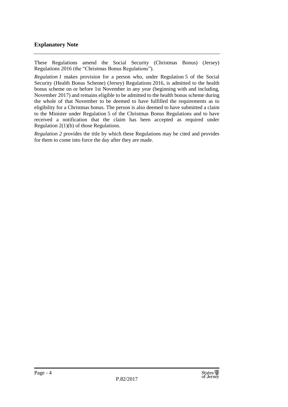#### **Explanatory Note**

These Regulations amend the Social Security (Christmas Bonus) (Jersey) Regulations 2016 (the "Christmas Bonus Regulations").

*Regulation 1* makes provision for a person who, under Regulation 5 of the Social Security (Health Bonus Scheme) (Jersey) Regulations 2016, is admitted to the health bonus scheme on or before 1st November in any year (beginning with and including, November 2017) and remains eligible to be admitted to the health bonus scheme during the whole of that November to be deemed to have fulfilled the requirements as to eligibility for a Christmas bonus. The person is also deemed to have submitted a claim to the Minister under Regulation 5 of the Christmas Bonus Regulations and to have received a notification that the claim has been accepted as required under Regulation 2(1)(b) of those Regulations.

*Regulation 2* provides the title by which these Regulations may be cited and provides for them to come into force the day after they are made.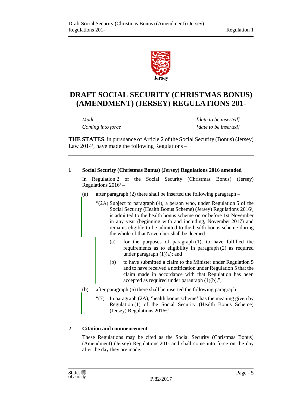

## **DRAFT SOCIAL SECURITY (CHRISTMAS BONUS) (AMENDMENT) (JERSEY) REGULATIONS 201-**

*Made [date to be inserted] Coming into force [date to be inserted]*

**THE STATES**, in pursuance of Article 2 of the Social Security (Bonus) (Jersey) Law 2014<sup>1</sup> , have made the following Regulations –

#### **1 Social Security (Christmas Bonus) (Jersey) Regulations 2016 amended**

In Regulation 2 of the Social Security (Christmas Bonus) (Jersey) Regulations 2016<sup>2</sup> –

- (a) after paragraph (2) there shall be inserted the following paragraph
	- "(2A) Subject to paragraph (4), a person who, under Regulation 5 of the Social Security (Health Bonus Scheme) (Jersey) Regulations 2016<sup>3</sup>, is admitted to the health bonus scheme on or before 1st November in any year (beginning with and including, November 2017) and remains eligible to be admitted to the health bonus scheme during the whole of that November shall be deemed –
		- (a) for the purposes of paragraph (1), to have fulfilled the requirements as to eligibility in paragraph (2) as required under paragraph  $(1)(a)$ ; and
		- (b) to have submitted a claim to the Minister under Regulation 5 and to have received a notification under Regulation 5 that the claim made in accordance with that Regulation has been accepted as required under paragraph  $(1)(b)$ .";
- (b) after paragraph (6) there shall be inserted the following paragraph
	- "(7) In paragraph (2A), 'health bonus scheme' has the meaning given by Regulation (1) of the Social Security (Health Bonus Scheme) (Jersey) Regulations 2016<sup>4</sup>.".

#### **2 Citation and commencement**

These Regulations may be cited as the Social Security (Christmas Bonus) (Amendment) (Jersey) Regulations 201- and shall come into force on the day after the day they are made.